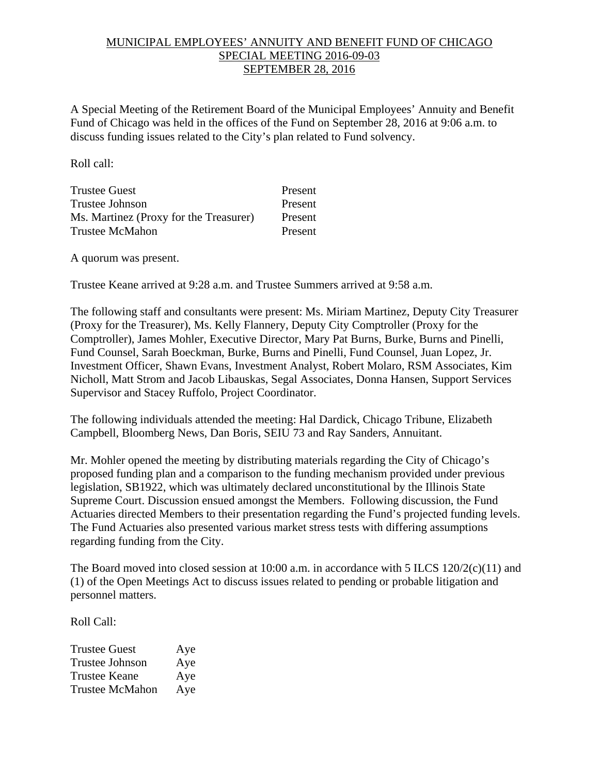## MUNICIPAL EMPLOYEES' ANNUITY AND BENEFIT FUND OF CHICAGO SPECIAL MEETING 2016-09-03 SEPTEMBER 28, 2016

A Special Meeting of the Retirement Board of the Municipal Employees' Annuity and Benefit Fund of Chicago was held in the offices of the Fund on September 28, 2016 at 9:06 a.m. to discuss funding issues related to the City's plan related to Fund solvency.

Roll call:

| <b>Trustee Guest</b>                   | Present |
|----------------------------------------|---------|
| Trustee Johnson                        | Present |
| Ms. Martinez (Proxy for the Treasurer) | Present |
| Trustee McMahon                        | Present |

A quorum was present.

Trustee Keane arrived at 9:28 a.m. and Trustee Summers arrived at 9:58 a.m.

The following staff and consultants were present: Ms. Miriam Martinez, Deputy City Treasurer (Proxy for the Treasurer), Ms. Kelly Flannery, Deputy City Comptroller (Proxy for the Comptroller), James Mohler, Executive Director, Mary Pat Burns, Burke, Burns and Pinelli, Fund Counsel, Sarah Boeckman, Burke, Burns and Pinelli, Fund Counsel, Juan Lopez, Jr. Investment Officer, Shawn Evans, Investment Analyst, Robert Molaro, RSM Associates, Kim Nicholl, Matt Strom and Jacob Libauskas, Segal Associates, Donna Hansen, Support Services Supervisor and Stacey Ruffolo, Project Coordinator.

The following individuals attended the meeting: Hal Dardick, Chicago Tribune, Elizabeth Campbell, Bloomberg News, Dan Boris, SEIU 73 and Ray Sanders, Annuitant.

Mr. Mohler opened the meeting by distributing materials regarding the City of Chicago's proposed funding plan and a comparison to the funding mechanism provided under previous legislation, SB1922, which was ultimately declared unconstitutional by the Illinois State Supreme Court. Discussion ensued amongst the Members. Following discussion, the Fund Actuaries directed Members to their presentation regarding the Fund's projected funding levels. The Fund Actuaries also presented various market stress tests with differing assumptions regarding funding from the City.

The Board moved into closed session at 10:00 a.m. in accordance with 5 ILCS 120/2(c)(11) and (1) of the Open Meetings Act to discuss issues related to pending or probable litigation and personnel matters.

Roll Call:

| <b>Trustee Guest</b>   | Aye |
|------------------------|-----|
| <b>Trustee Johnson</b> | Aye |
| <b>Trustee Keane</b>   | Aye |
| <b>Trustee McMahon</b> | Aye |